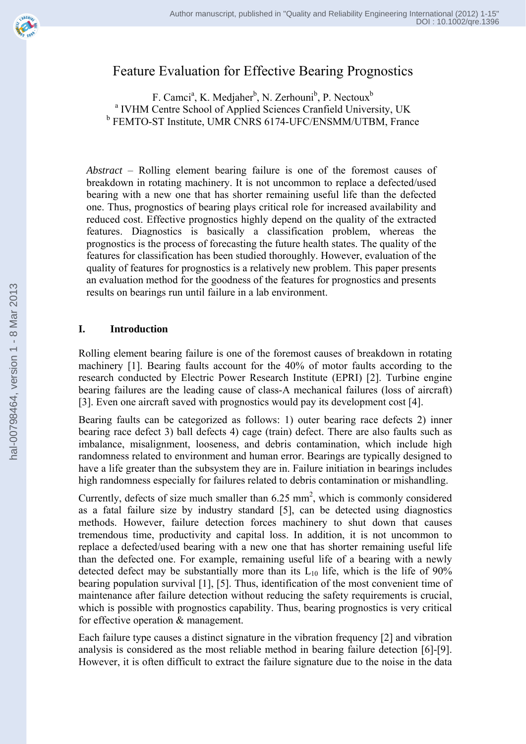# Feature Evaluation for Effective Bearing Prognostics

F. Camci<sup>a</sup>, K. Medjaher<sup>b</sup>, N. Zerhouni<sup>b</sup>, P. Nectoux<sup>b</sup> <sup>a</sup> IVHM Centre School of Applied Sciences Cranfield University, UK b FEMTO-ST Institute, UMR CNRS 6174-UFC/ENSMM/UTBM, France

*Abstract* – Rolling element bearing failure is one of the foremost causes of breakdown in rotating machinery. It is not uncommon to replace a defected/used bearing with a new one that has shorter remaining useful life than the defected one. Thus, prognostics of bearing plays critical role for increased availability and reduced cost. Effective prognostics highly depend on the quality of the extracted features. Diagnostics is basically a classification problem, whereas the prognostics is the process of forecasting the future health states. The quality of the features for classification has been studied thoroughly. However, evaluation of the quality of features for prognostics is a relatively new problem. This paper presents an evaluation method for the goodness of the features for prognostics and presents results on bearings run until failure in a lab environment.

## **I. Introduction**

Rolling element bearing failure is one of the foremost causes of breakdown in rotating machinery [1]. Bearing faults account for the 40% of motor faults according to the research conducted by Electric Power Research Institute (EPRI) [2]. Turbine engine bearing failures are the leading cause of class-A mechanical failures (loss of aircraft) [3]. Even one aircraft saved with prognostics would pay its development cost [4].

Bearing faults can be categorized as follows: 1) outer bearing race defects 2) inner bearing race defect 3) ball defects 4) cage (train) defect. There are also faults such as imbalance, misalignment, looseness, and debris contamination, which include high randomness related to environment and human error. Bearings are typically designed to have a life greater than the subsystem they are in. Failure initiation in bearings includes high randomness especially for failures related to debris contamination or mishandling.

Currently, defects of size much smaller than  $6.25 \text{ mm}^2$ , which is commonly considered as a fatal failure size by industry standard [5], can be detected using diagnostics methods. However, failure detection forces machinery to shut down that causes tremendous time, productivity and capital loss. In addition, it is not uncommon to replace a defected/used bearing with a new one that has shorter remaining useful life than the defected one. For example, remaining useful life of a bearing with a newly detected defect may be substantially more than its  $L_{10}$  life, which is the life of 90% bearing population survival [1], [5]. Thus, identification of the most convenient time of maintenance after failure detection without reducing the safety requirements is crucial, which is possible with prognostics capability. Thus, bearing prognostics is very critical for effective operation & management.

Each failure type causes a distinct signature in the vibration frequency [2] and vibration analysis is considered as the most reliable method in bearing failure detection [6]-[9]. However, it is often difficult to extract the failure signature due to the noise in the data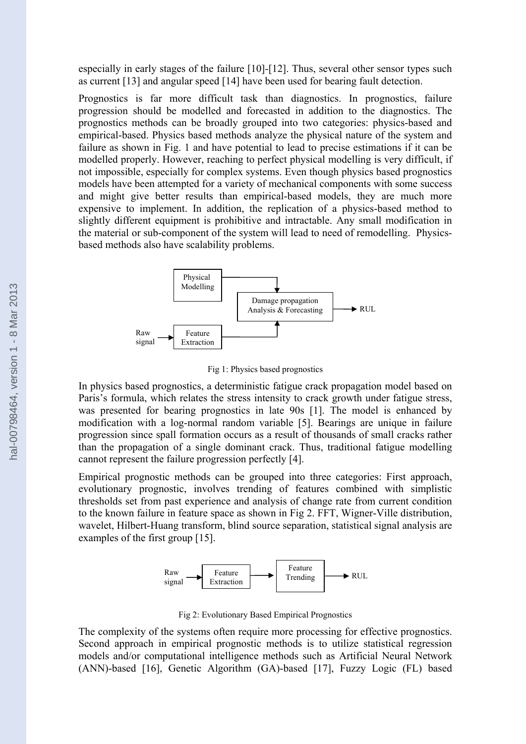especially in early stages of the failure [10]-[12]. Thus, several other sensor types such as current [13] and angular speed [14] have been used for bearing fault detection.

Prognostics is far more difficult task than diagnostics. In prognostics, failure progression should be modelled and forecasted in addition to the diagnostics. The prognostics methods can be broadly grouped into two categories: physics-based and empirical-based. Physics based methods analyze the physical nature of the system and failure as shown in Fig. 1 and have potential to lead to precise estimations if it can be modelled properly. However, reaching to perfect physical modelling is very difficult, if not impossible, especially for complex systems. Even though physics based prognostics models have been attempted for a variety of mechanical components with some success and might give better results than empirical-based models, they are much more expensive to implement. In addition, the replication of a physics-based method to slightly different equipment is prohibitive and intractable. Any small modification in the material or sub-component of the system will lead to need of remodelling. Physicsbased methods also have scalability problems.



Fig 1: Physics based prognostics

In physics based prognostics, a deterministic fatigue crack propagation model based on Paris's formula, which relates the stress intensity to crack growth under fatigue stress, was presented for bearing prognostics in late 90s [1]. The model is enhanced by modification with a log-normal random variable [5]. Bearings are unique in failure progression since spall formation occurs as a result of thousands of small cracks rather than the propagation of a single dominant crack. Thus, traditional fatigue modelling cannot represent the failure progression perfectly [4].

Empirical prognostic methods can be grouped into three categories: First approach, evolutionary prognostic, involves trending of features combined with simplistic thresholds set from past experience and analysis of change rate from current condition to the known failure in feature space as shown in Fig 2. FFT, Wigner-Ville distribution, wavelet, Hilbert-Huang transform, blind source separation, statistical signal analysis are examples of the first group [15].



Fig 2: Evolutionary Based Empirical Prognostics

The complexity of the systems often require more processing for effective prognostics. Second approach in empirical prognostic methods is to utilize statistical regression models and/or computational intelligence methods such as Artificial Neural Network (ANN)-based [16], Genetic Algorithm (GA)-based [17], Fuzzy Logic (FL) based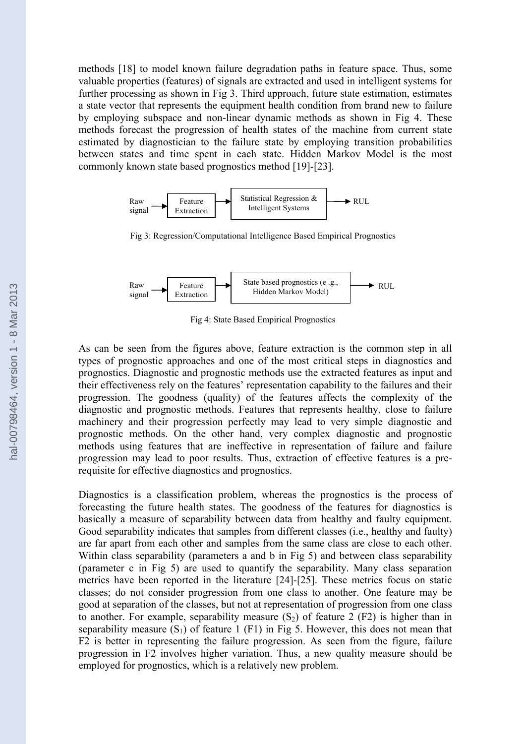methods [18] to model known failure degradation paths in feature space. Thus, some valuable properties (features) of signals are extracted and used in intelligent systems for further processing as shown in Fig 3. Third approach, future state estimation, estimates a state vector that represents the equipment health condition from brand new to failure by employing subspace and non-linear dynamic methods as shown in Fig 4. These methods forecast the progression of health states of the machine from current state estimated by diagnostician to the failure state by employing transition probabilities between states and time spent in each state. Hidden Markov Model is the most commonly known state based prognostics method [19]-[23].



Fig 3: Regression/Computational Intelligence Based Empirical Prognostics



Fig 4: State Based Empirical Prognostics

As can be seen from the figures above, feature extraction is the common step in all types of prognostic approaches and one of the most critical steps in diagnostics and prognostics. Diagnostic and prognostic methods use the extracted features as input and their effectiveness rely on the features' representation capability to the failures and their progression. The goodness (quality) of the features affects the complexity of the diagnostic and prognostic methods. Features that represents healthy, close to failure machinery and their progression perfectly may lead to very simple diagnostic and prognostic methods. On the other hand, very complex diagnostic and prognostic methods using features that are ineffective in representation of failure and failure progression may lead to poor results. Thus, extraction of effective features is a prerequisite for effective diagnostics and prognostics.

Diagnostics is a classification problem, whereas the prognostics is the process of forecasting the future health states. The goodness of the features for diagnostics is basically a measure of separability between data from healthy and faulty equipment. Good separability indicates that samples from different classes (i.e., healthy and faulty) are far apart from each other and samples from the same class are close to each other. Within class separability (parameters a and b in Fig 5) and between class separability (parameter c in Fig 5) are used to quantify the separability. Many class separation metrics have been reported in the literature [24]-[25]. These metrics focus on static classes; do not consider progression from one class to another. One feature may be good at separation of the classes, but not at representation of progression from one class to another. For example, separability measure  $(S_2)$  of feature 2 (F2) is higher than in separability measure  $(S_1)$  of feature 1 (F1) in Fig 5. However, this does not mean that F2 is better in representing the failure progression. As seen from the figure, failure progression in F2 involves higher variation. Thus, a new quality measure should be employed for prognostics, which is a relatively new problem.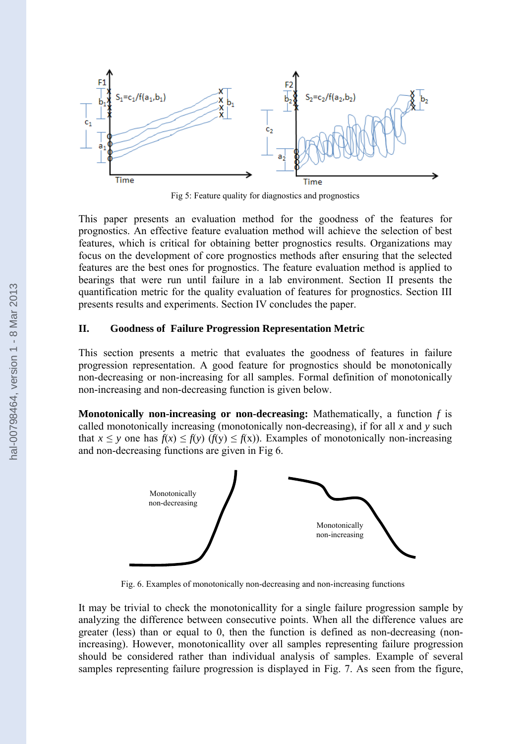

Fig 5: Feature quality for diagnostics and prognostics

This paper presents an evaluation method for the goodness of the features for prognostics. An effective feature evaluation method will achieve the selection of best features, which is critical for obtaining better prognostics results. Organizations may focus on the development of core prognostics methods after ensuring that the selected features are the best ones for prognostics. The feature evaluation method is applied to bearings that were run until failure in a lab environment. Section II presents the quantification metric for the quality evaluation of features for prognostics. Section III presents results and experiments. Section IV concludes the paper.

#### **II. Goodness of Failure Progression Representation Metric**

This section presents a metric that evaluates the goodness of features in failure progression representation. A good feature for prognostics should be monotonically non-decreasing or non-increasing for all samples. Formal definition of monotonically non-increasing and non-decreasing function is given below.

**Monotonically non-increasing or non-decreasing:** Mathematically, a function *f* is called monotonically increasing (monotonically non-decreasing), if for all *x* and *y* such that  $x \le y$  one has  $f(x) \le f(y)$  ( $f(y) \le f(x)$ ). Examples of monotonically non-increasing and non-decreasing functions are given in Fig 6.



Fig. 6. Examples of monotonically non-decreasing and non-increasing functions

It may be trivial to check the monotonicallity for a single failure progression sample by analyzing the difference between consecutive points. When all the difference values are greater (less) than or equal to 0, then the function is defined as non-decreasing (nonincreasing). However, monotonicallity over all samples representing failure progression should be considered rather than individual analysis of samples. Example of several samples representing failure progression is displayed in Fig. 7. As seen from the figure,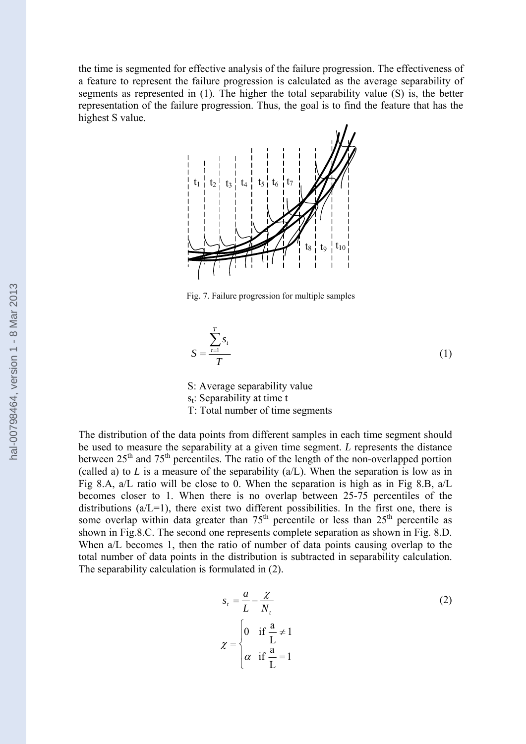the time is segmented for effective analysis of the failure progression. The effectiveness of a feature to represent the failure progression is calculated as the average separability of segments as represented in (1). The higher the total separability value (S) is, the better representation of the failure progression. Thus, the goal is to find the feature that has the highest S value.



Fig. 7. Failure progression for multiple samples

$$
S = \frac{\sum_{t=1}^{T} s_t}{T}
$$
 (1)

S: Average separability value

 $s_t$ : Separability at time t

T: Total number of time segments

The distribution of the data points from different samples in each time segment should be used to measure the separability at a given time segment. *L* represents the distance between  $25<sup>th</sup>$  and  $75<sup>th</sup>$  percentiles. The ratio of the length of the non-overlapped portion (called a) to *L* is a measure of the separability  $(a/L)$ . When the separation is low as in Fig 8.A, a/L ratio will be close to 0. When the separation is high as in Fig 8.B, a/L becomes closer to 1. When there is no overlap between 25-75 percentiles of the distributions  $(a/L=1)$ , there exist two different possibilities. In the first one, there is some overlap within data greater than  $75<sup>th</sup>$  percentile or less than  $25<sup>th</sup>$  percentile as shown in Fig.8.C. The second one represents complete separation as shown in Fig. 8.D. When  $a/L$  becomes 1, then the ratio of number of data points causing overlap to the total number of data points in the distribution is subtracted in separability calculation. The separability calculation is formulated in (2).

$$
s_t = \frac{a}{L} - \frac{\chi}{N_t}
$$
  
\n
$$
\chi = \begin{cases} 0 & \text{if } \frac{a}{L} \neq 1 \\ \alpha & \text{if } \frac{a}{L} = 1 \end{cases}
$$
 (2)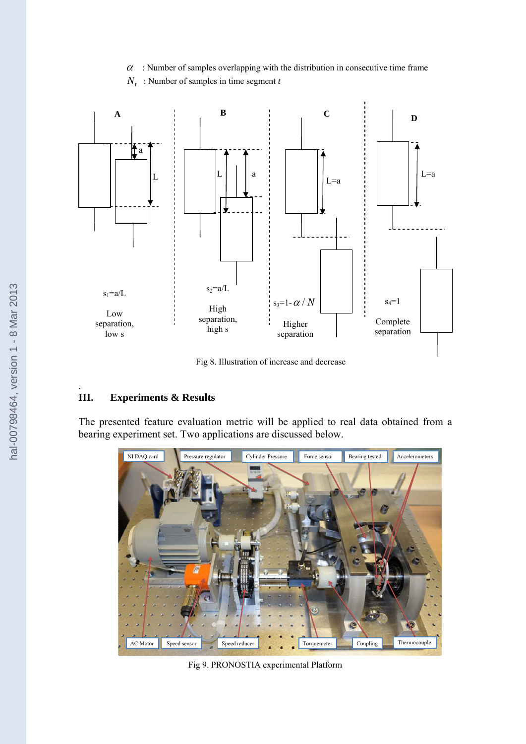$\alpha$ : Number of samples overlapping with the distribution in consecutive time frame





Fig 8. Illustration of increase and decrease

## **III. Experiments & Results**

.

The presented feature evaluation metric will be applied to real data obtained from a bearing experiment set. Two applications are discussed below.



Fig 9. PRONOSTIA experimental Platform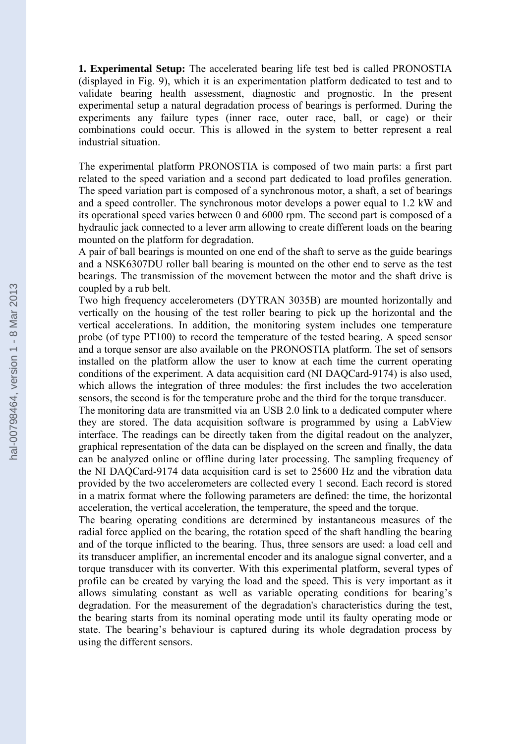**1. Experimental Setup:** The accelerated bearing life test bed is called PRONOSTIA (displayed in Fig. 9), which it is an experimentation platform dedicated to test and to validate bearing health assessment, diagnostic and prognostic. In the present experimental setup a natural degradation process of bearings is performed. During the experiments any failure types (inner race, outer race, ball, or cage) or their combinations could occur. This is allowed in the system to better represent a real industrial situation.

The experimental platform PRONOSTIA is composed of two main parts: a first part related to the speed variation and a second part dedicated to load profiles generation. The speed variation part is composed of a synchronous motor, a shaft, a set of bearings and a speed controller. The synchronous motor develops a power equal to 1.2 kW and its operational speed varies between 0 and 6000 rpm. The second part is composed of a hydraulic jack connected to a lever arm allowing to create different loads on the bearing mounted on the platform for degradation.

A pair of ball bearings is mounted on one end of the shaft to serve as the guide bearings and a NSK6307DU roller ball bearing is mounted on the other end to serve as the test bearings. The transmission of the movement between the motor and the shaft drive is coupled by a rub belt.

Two high frequency accelerometers (DYTRAN 3035B) are mounted horizontally and vertically on the housing of the test roller bearing to pick up the horizontal and the vertical accelerations. In addition, the monitoring system includes one temperature probe (of type PT100) to record the temperature of the tested bearing. A speed sensor and a torque sensor are also available on the PRONOSTIA platform. The set of sensors installed on the platform allow the user to know at each time the current operating conditions of the experiment. A data acquisition card (NI DAQCard-9174) is also used, which allows the integration of three modules: the first includes the two acceleration sensors, the second is for the temperature probe and the third for the torque transducer.

The monitoring data are transmitted via an USB 2.0 link to a dedicated computer where they are stored. The data acquisition software is programmed by using a LabView interface. The readings can be directly taken from the digital readout on the analyzer, graphical representation of the data can be displayed on the screen and finally, the data can be analyzed online or offline during later processing. The sampling frequency of the NI DAQCard-9174 data acquisition card is set to 25600 Hz and the vibration data provided by the two accelerometers are collected every 1 second. Each record is stored in a matrix format where the following parameters are defined: the time, the horizontal acceleration, the vertical acceleration, the temperature, the speed and the torque.

The bearing operating conditions are determined by instantaneous measures of the radial force applied on the bearing, the rotation speed of the shaft handling the bearing and of the torque inflicted to the bearing. Thus, three sensors are used: a load cell and its transducer amplifier, an incremental encoder and its analogue signal converter, and a torque transducer with its converter. With this experimental platform, several types of profile can be created by varying the load and the speed. This is very important as it allows simulating constant as well as variable operating conditions for bearing's degradation. For the measurement of the degradation's characteristics during the test, the bearing starts from its nominal operating mode until its faulty operating mode or state. The bearing's behaviour is captured during its whole degradation process by using the different sensors.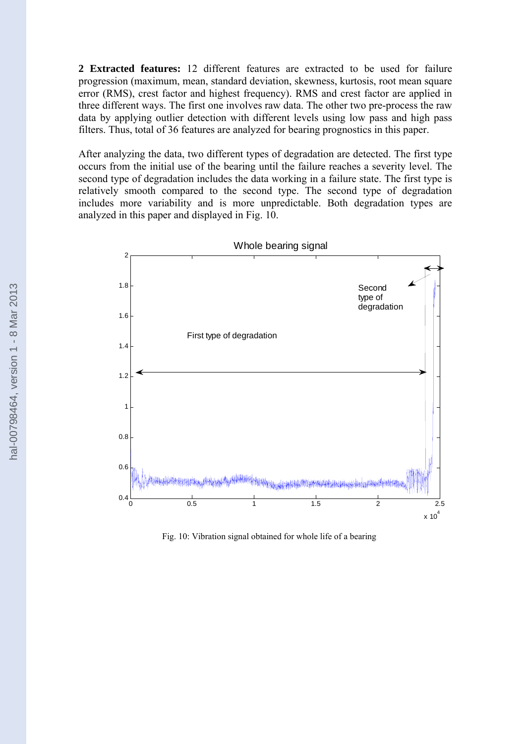**2 Extracted features:** 12 different features are extracted to be used for failure progression (maximum, mean, standard deviation, skewness, kurtosis, root mean square error (RMS), crest factor and highest frequency). RMS and crest factor are applied in three different ways. The first one involves raw data. The other two pre-process the raw data by applying outlier detection with different levels using low pass and high pass filters. Thus, total of 36 features are analyzed for bearing prognostics in this paper.

After analyzing the data, two different types of degradation are detected. The first type occurs from the initial use of the bearing until the failure reaches a severity level. The second type of degradation includes the data working in a failure state. The first type is relatively smooth compared to the second type. The second type of degradation includes more variability and is more unpredictable. Both degradation types are analyzed in this paper and displayed in Fig. 10.



Fig. 10: Vibration signal obtained for whole life of a bearing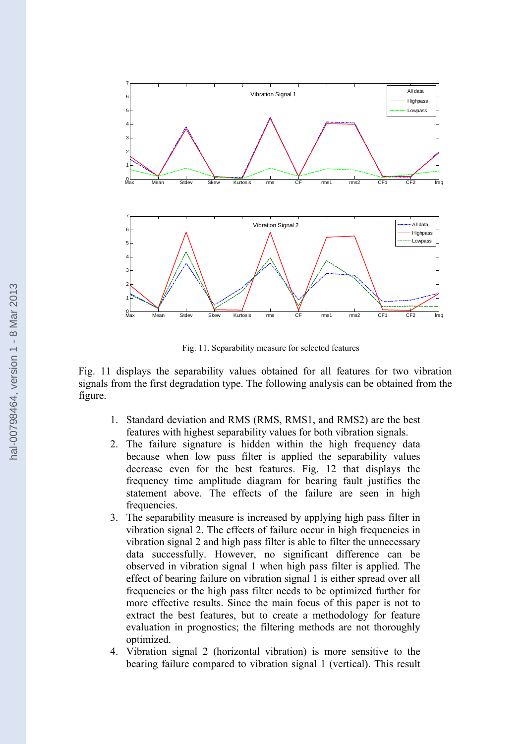

Fig. 11. Separability measure for selected features

Fig. 11 displays the separability values obtained for all features for two vibration signals from the first degradation type. The following analysis can be obtained from the figure.

- 1. Standard deviation and RMS (RMS, RMS1, and RMS2) are the best features with highest separability values for both vibration signals.
- 2. The failure signature is hidden within the high frequency data because when low pass filter is applied the separability values decrease even for the best features. Fig. 12 that displays the frequency time amplitude diagram for bearing fault justifies the statement above. The effects of the failure are seen in high frequencies.
- 3. The separability measure is increased by applying high pass filter in vibration signal 2. The effects of failure occur in high frequencies in vibration signal 2 and high pass filter is able to filter the unnecessary data successfully. However, no significant difference can be observed in vibration signal 1 when high pass filter is applied. The effect of bearing failure on vibration signal 1 is either spread over all frequencies or the high pass filter needs to be optimized further for more effective results. Since the main focus of this paper is not to extract the best features, but to create a methodology for feature evaluation in prognostics; the filtering methods are not thoroughly optimized.
- 4. Vibration signal 2 (horizontal vibration) is more sensitive to the bearing failure compared to vibration signal 1 (vertical). This result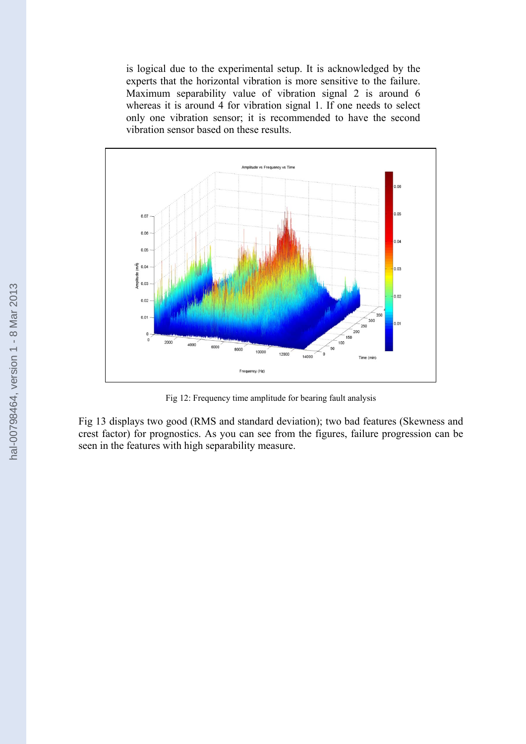is logical due to the experimental setup. It is acknowledged by the experts that the horizontal vibration is more sensitive to the failure. Maximum separability value of vibration signal 2 is around 6 whereas it is around  $\overline{4}$  for vibration signal 1. If one needs to select only one vibration sensor; it is recommended to have the second vibration sensor based on these results.

![](_page_9_Figure_1.jpeg)

Fig 12: Frequency time amplitude for bearing fault analysis

Fig 13 displays two good (RMS and standard deviation); two bad features (Skewness and crest factor) for prognostics. As you can see from the figures, failure progression can be seen in the features with high separability measure.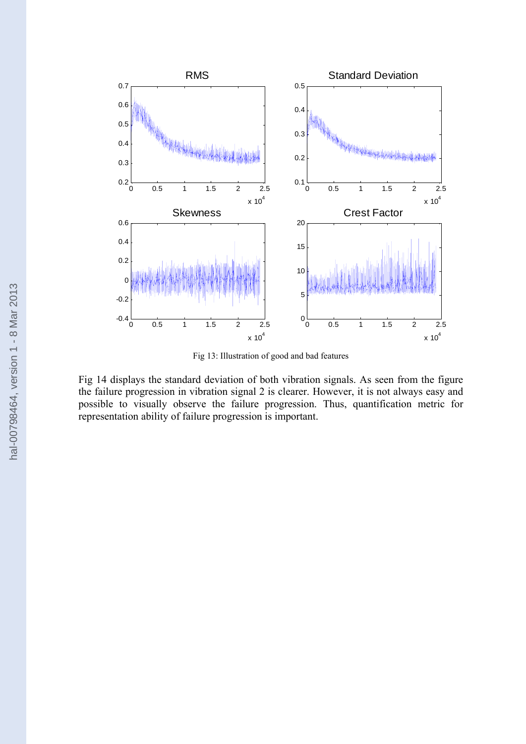![](_page_10_Figure_0.jpeg)

Fig 13: Illustration of good and bad features

Fig 14 displays the standard deviation of both vibration signals. As seen from the figure the failure progression in vibration signal 2 is clearer. However, it is not always easy and possible to visually observe the failure progression. Thus, quantification metric for representation ability of failure progression is important.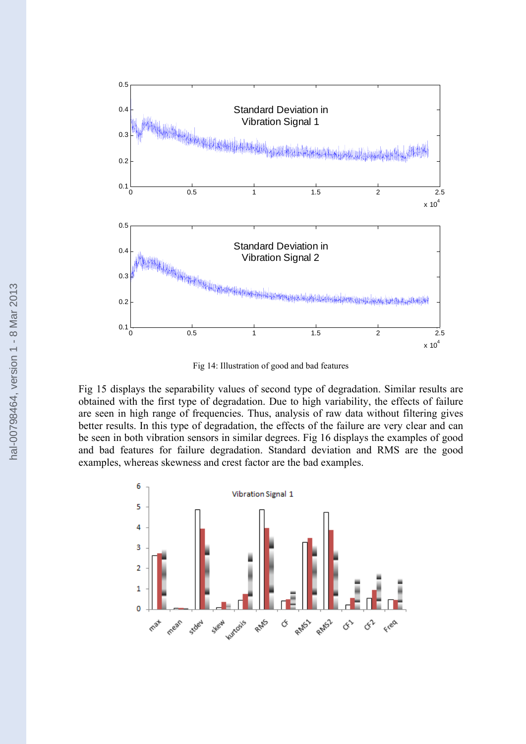![](_page_11_Figure_0.jpeg)

Fig 14: Illustration of good and bad features

Fig 15 displays the separability values of second type of degradation. Similar results are obtained with the first type of degradation. Due to high variability, the effects of failure are seen in high range of frequencies. Thus, analysis of raw data without filtering gives better results. In this type of degradation, the effects of the failure are very clear and can be seen in both vibration sensors in similar degrees. Fig 16 displays the examples of good and bad features for failure degradation. Standard deviation and RMS are the good examples, whereas skewness and crest factor are the bad examples.

![](_page_11_Figure_3.jpeg)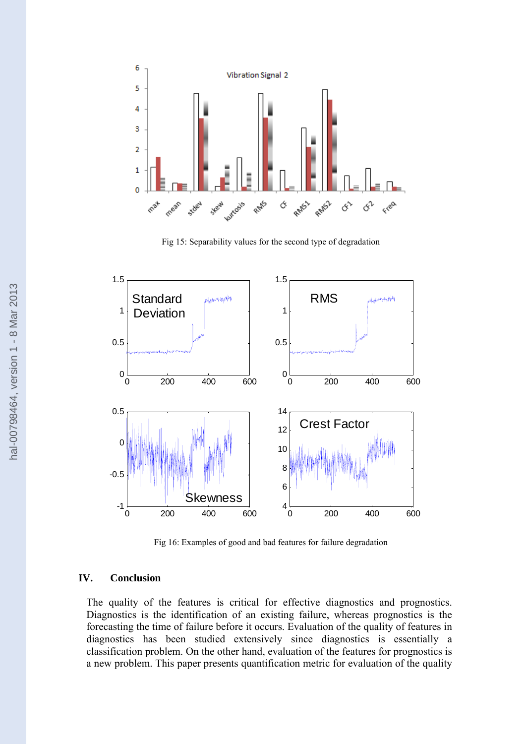![](_page_12_Figure_0.jpeg)

Fig 15: Separability values for the second type of degradation

![](_page_12_Figure_2.jpeg)

Fig 16: Examples of good and bad features for failure degradation

### **IV. Conclusion**

The quality of the features is critical for effective diagnostics and prognostics. Diagnostics is the identification of an existing failure, whereas prognostics is the forecasting the time of failure before it occurs. Evaluation of the quality of features in diagnostics has been studied extensively since diagnostics is essentially a classification problem. On the other hand, evaluation of the features for prognostics is a new problem. This paper presents quantification metric for evaluation of the quality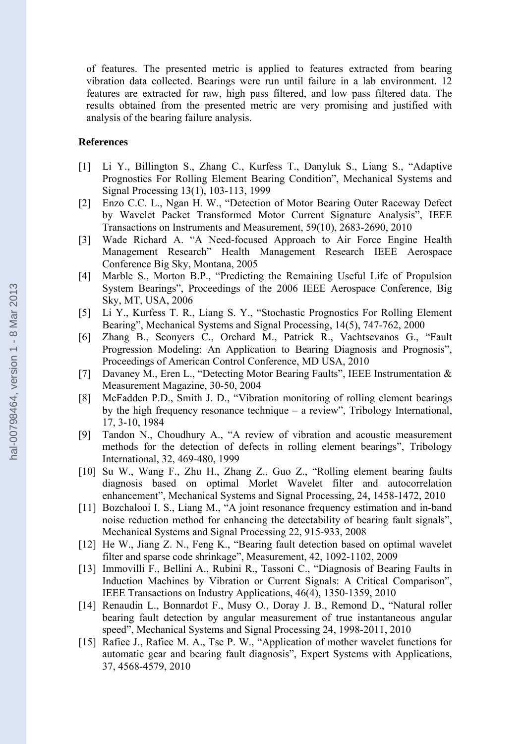of features. The presented metric is applied to features extracted from bearing vibration data collected. Bearings were run until failure in a lab environment. 12 features are extracted for raw, high pass filtered, and low pass filtered data. The results obtained from the presented metric are very promising and justified with analysis of the bearing failure analysis.

#### **References**

- [1] Li Y., Billington S., Zhang C., Kurfess T., Danyluk S., Liang S., "Adaptive Prognostics For Rolling Element Bearing Condition", Mechanical Systems and Signal Processing 13(1), 103-113, 1999
- [2] Enzo C.C. L., Ngan H. W., "Detection of Motor Bearing Outer Raceway Defect by Wavelet Packet Transformed Motor Current Signature Analysis", IEEE Transactions on Instruments and Measurement, 59(10), 2683-2690, 2010
- [3] Wade Richard A. "A Need-focused Approach to Air Force Engine Health Management Research" Health Management Research IEEE Aerospace Conference Big Sky, Montana, 2005
- [4] Marble S., Morton B.P., "Predicting the Remaining Useful Life of Propulsion System Bearings", Proceedings of the 2006 IEEE Aerospace Conference, Big Sky, MT, USA, 2006
- [5] Li Y., Kurfess T. R., Liang S. Y., "Stochastic Prognostics For Rolling Element Bearing", Mechanical Systems and Signal Processing, 14(5), 747-762, 2000
- [6] Zhang B., Sconyers C., Orchard M., Patrick R., Vachtsevanos G., "Fault Progression Modeling: An Application to Bearing Diagnosis and Prognosis", Proceedings of American Control Conference, MD USA, 2010
- [7] Davaney M., Eren L., "Detecting Motor Bearing Faults", IEEE Instrumentation & Measurement Magazine, 30-50, 2004
- [8] McFadden P.D., Smith J. D., "Vibration monitoring of rolling element bearings by the high frequency resonance technique – a review", Tribology International, 17, 3-10, 1984
- [9] Tandon N., Choudhury A., "A review of vibration and acoustic measurement methods for the detection of defects in rolling element bearings", Tribology International, 32, 469-480, 1999
- [10] Su W., Wang F., Zhu H., Zhang Z., Guo Z., "Rolling element bearing faults diagnosis based on optimal Morlet Wavelet filter and autocorrelation enhancement", Mechanical Systems and Signal Processing, 24, 1458-1472, 2010
- [11] Bozchalooi I. S., Liang M., "A joint resonance frequency estimation and in-band noise reduction method for enhancing the detectability of bearing fault signals", Mechanical Systems and Signal Processing 22, 915-933, 2008
- [12] He W., Jiang Z. N., Feng K., "Bearing fault detection based on optimal wavelet filter and sparse code shrinkage", Measurement, 42, 1092-1102, 2009
- [13] Immovilli F., Bellini A., Rubini R., Tassoni C., "Diagnosis of Bearing Faults in Induction Machines by Vibration or Current Signals: A Critical Comparison", IEEE Transactions on Industry Applications, 46(4), 1350-1359, 2010
- [14] Renaudin L., Bonnardot F., Musy O., Doray J. B., Remond D., "Natural roller bearing fault detection by angular measurement of true instantaneous angular speed", Mechanical Systems and Signal Processing 24, 1998-2011, 2010
- [15] Rafiee J., Rafiee M. A., Tse P. W., "Application of mother wavelet functions for automatic gear and bearing fault diagnosis", Expert Systems with Applications, 37, 4568-4579, 2010